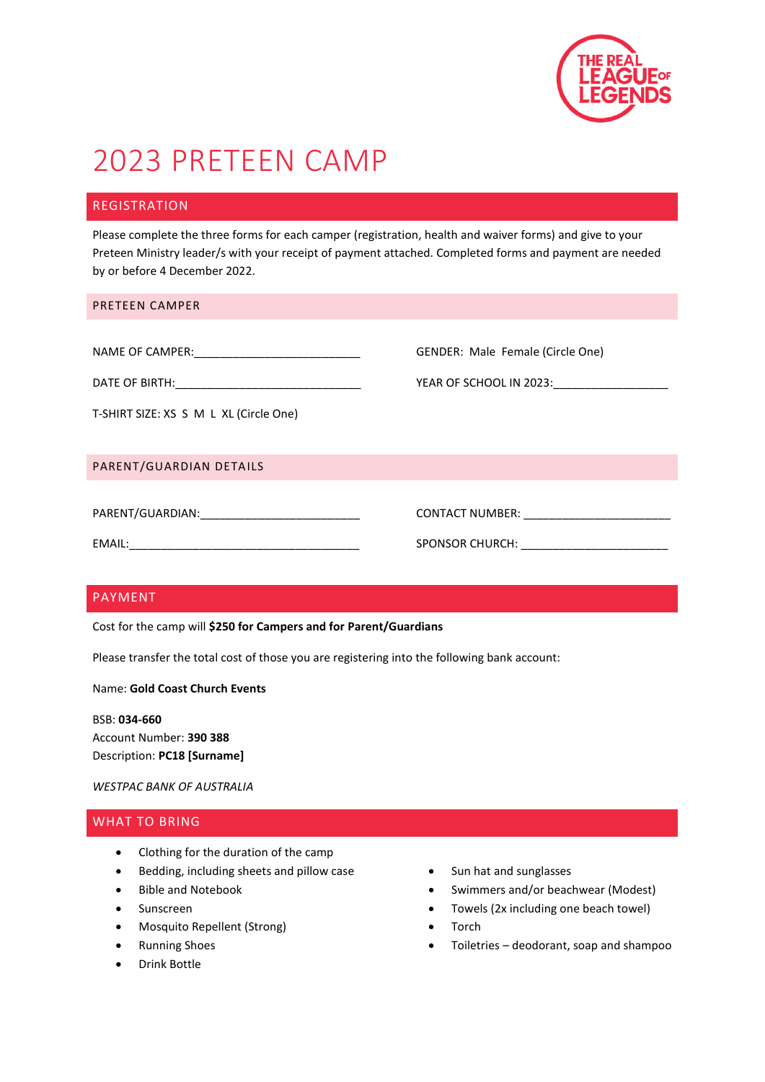

## 2023 PRETEEN CAMP

#### REGISTRATION

Please complete the three forms for each camper (registration, health and waiver forms) and give to your Preteen Ministry leader/s with your receipt of payment attached. Completed forms and payment are needed by or before 4 December 2022.

| <b>PRETEEN CAMPER</b> |  |
|-----------------------|--|
|-----------------------|--|

| NAME OF CAMPER: |
|-----------------|
|                 |

DATE OF BIRTH:\_\_\_\_\_\_\_\_\_\_\_\_\_\_\_\_\_\_\_\_\_\_\_\_\_\_\_\_\_ YEAR OF SCHOOL IN 2023:\_\_\_\_\_\_\_\_\_\_\_\_\_\_\_\_\_\_

PARENT/GUARDIAN DETAILS

| PARENT/GUARDIAN: |
|------------------|
|------------------|

GENDER: Male Female (Circle One)

EMAIL:\_\_\_\_\_\_\_\_\_\_\_\_\_\_\_\_\_\_\_\_\_\_\_\_\_\_\_\_\_\_\_\_\_\_\_\_ SPONSOR CHURCH: \_\_\_\_\_\_\_\_\_\_\_\_\_\_\_\_\_\_\_\_\_\_\_

CONTACT NUMBER:  $\blacksquare$ 

#### PAYMENT

Cost for the camp will **\$250 for Campers and for Parent/Guardians**

Please transfer the total cost of those you are registering into the following bank account:

#### Name: **Gold Coast Church Events**

BSB: **034-660** Account Number: **390 388** Description: **PC18 [Surname]**

*WESTPAC BANK OF AUSTRALIA*

#### WHAT TO BRING

- Clothing for the duration of the camp
- Bedding, including sheets and pillow case
- Bible and Notebook
- Sunscreen
- Mosquito Repellent (Strong)
- **•** Running Shoes
- Drink Bottle
- Sun hat and sunglasses
- Swimmers and/or beachwear (Modest)
- Towels (2x including one beach towel)
- Torch
- Toiletries deodorant, soap and shampoo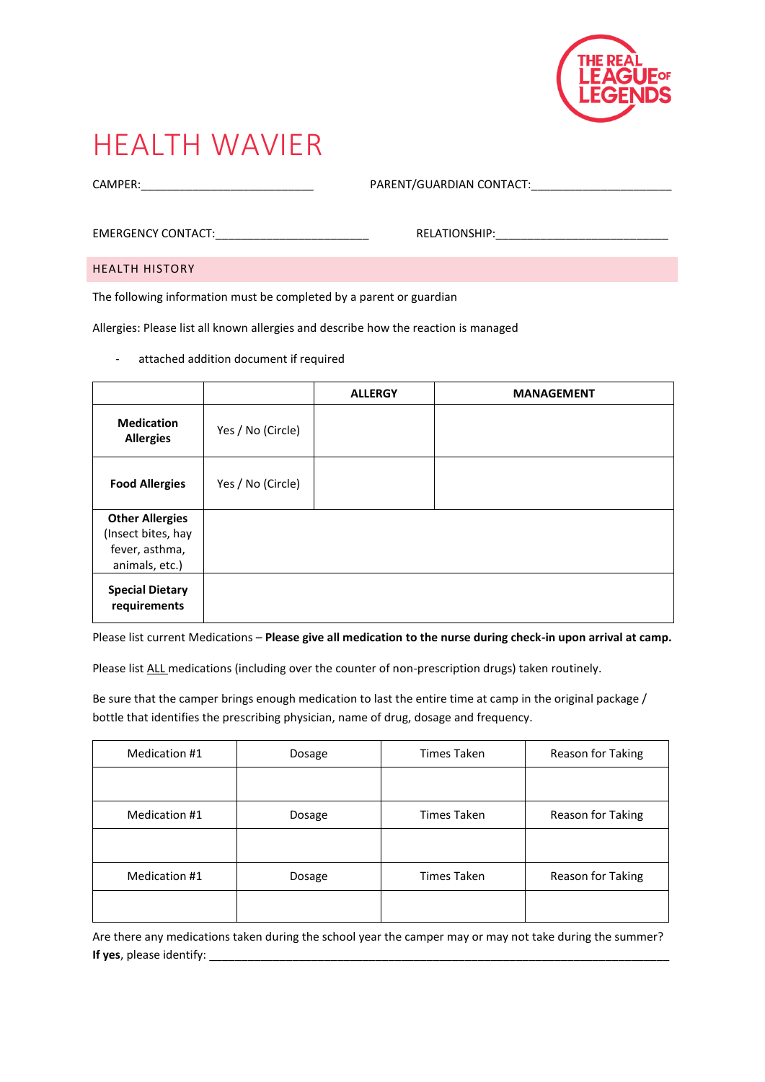

### HEALTH WAVIER

CAMPER:\_\_\_\_\_\_\_\_\_\_\_\_\_\_\_\_\_\_\_\_\_\_\_\_\_\_\_ PARENT/GUARDIAN CONTACT:\_\_\_\_\_\_\_\_\_\_\_\_\_\_\_\_\_\_\_\_\_\_

EMERGENCY CONTACT:\_\_\_\_\_\_\_\_\_\_\_\_\_\_\_\_\_\_\_\_\_\_\_\_ RELATIONSHIP:\_\_\_\_\_\_\_\_\_\_\_\_\_\_\_\_\_\_\_\_\_\_\_\_\_\_\_

HEALTH HISTORY

The following information must be completed by a parent or guardian

Allergies: Please list all known allergies and describe how the reaction is managed

- attached addition document if required

|                                                                                  |                   | <b>ALLERGY</b> | <b>MANAGEMENT</b> |
|----------------------------------------------------------------------------------|-------------------|----------------|-------------------|
| <b>Medication</b><br><b>Allergies</b>                                            | Yes / No (Circle) |                |                   |
| <b>Food Allergies</b>                                                            | Yes / No (Circle) |                |                   |
| <b>Other Allergies</b><br>(Insect bites, hay<br>fever, asthma,<br>animals, etc.) |                   |                |                   |
| <b>Special Dietary</b><br>requirements                                           |                   |                |                   |

Please list current Medications – **Please give all medication to the nurse during check-in upon arrival at camp.**

Please list ALL medications (including over the counter of non-prescription drugs) taken routinely.

Be sure that the camper brings enough medication to last the entire time at camp in the original package / bottle that identifies the prescribing physician, name of drug, dosage and frequency.

| Medication #1 | Dosage | Times Taken | Reason for Taking |
|---------------|--------|-------------|-------------------|
|               |        |             |                   |
| Medication #1 | Dosage | Times Taken | Reason for Taking |
|               |        |             |                   |
| Medication #1 | Dosage | Times Taken | Reason for Taking |
|               |        |             |                   |

Are there any medications taken during the school year the camper may or may not take during the summer? **If yes**, please identify: \_\_\_\_\_\_\_\_\_\_\_\_\_\_\_\_\_\_\_\_\_\_\_\_\_\_\_\_\_\_\_\_\_\_\_\_\_\_\_\_\_\_\_\_\_\_\_\_\_\_\_\_\_\_\_\_\_\_\_\_\_\_\_\_\_\_\_\_\_\_\_\_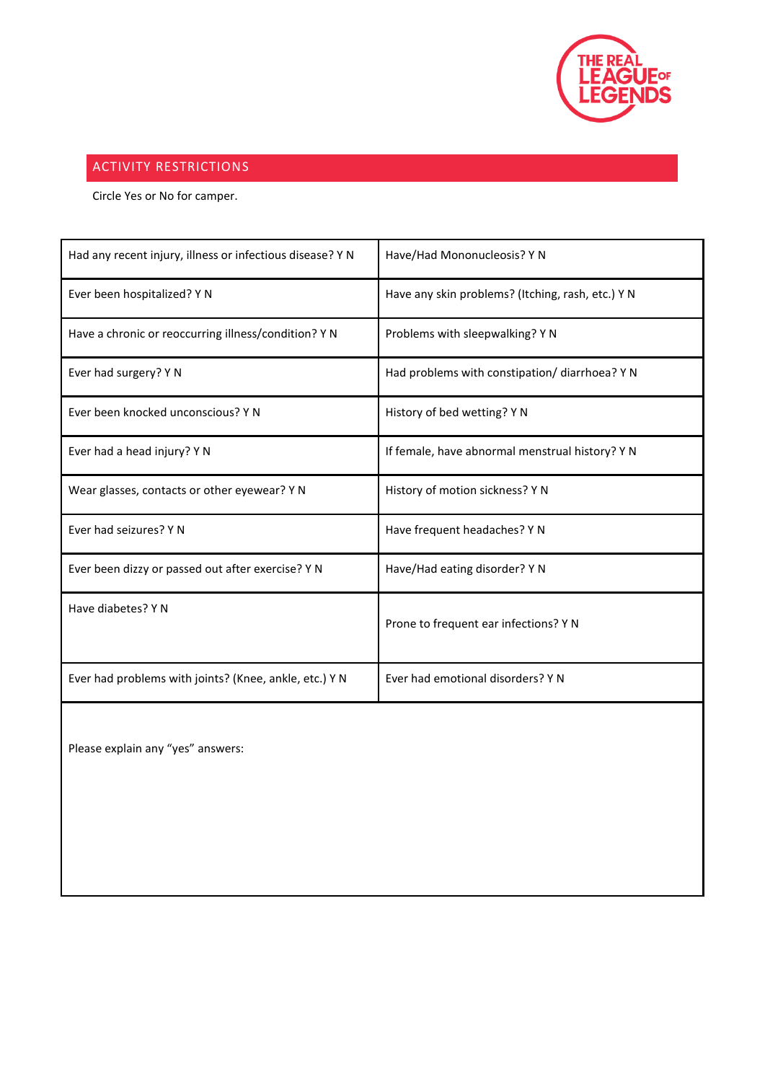

### ACTIVITY RESTRICTIONS

Circle Yes or No for camper.

| Had any recent injury, illness or infectious disease? Y N | Have/Had Mononucleosis? Y N                       |
|-----------------------------------------------------------|---------------------------------------------------|
| Ever been hospitalized? Y N                               | Have any skin problems? (Itching, rash, etc.) Y N |
| Have a chronic or reoccurring illness/condition? Y N      | Problems with sleepwalking? Y N                   |
| Ever had surgery? Y N                                     | Had problems with constipation/ diarrhoea? Y N    |
| Ever been knocked unconscious? Y N                        | History of bed wetting? Y N                       |
| Ever had a head injury? Y N                               | If female, have abnormal menstrual history? Y N   |
| Wear glasses, contacts or other eyewear? Y N              | History of motion sickness? Y N                   |
| Ever had seizures? Y N                                    | Have frequent headaches? Y N                      |
| Ever been dizzy or passed out after exercise? Y N         | Have/Had eating disorder? Y N                     |
| Have diabetes? Y N                                        | Prone to frequent ear infections? Y N             |
| Ever had problems with joints? (Knee, ankle, etc.) Y N    | Ever had emotional disorders? Y N                 |

Please explain any "yes" answers: